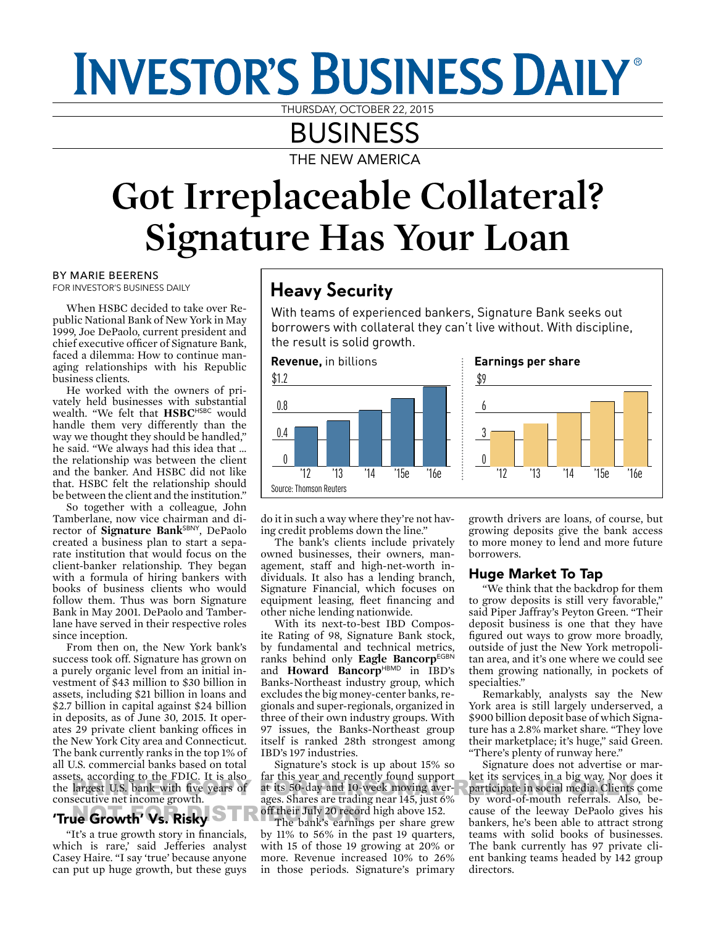# **INVESTOR'S BUSINESS DAILY®**

THURSDAY, OCTOBER 22, 2015

# BUSINESS

THE NEW AMERICA

# **Got Irreplaceable Collateral? Signature Has Your Loan**

BY MARIE BEERENS FOR INVESTOR'S BUSINESS DAILY

When HSBC decided to take over Republic National Bank of New York in May 1999, Joe DePaolo, current president and chief executive officer of Signature Bank, faced a dilemma: How to continue managing relationships with his Republic business clients.

He worked with the owners of privately held businesses with substantial wealth. "We felt that HSBC<sup>HSBC</sup> would handle them very differently than the way we thought they should be handled," he said. "We always had this idea that ... the relationship was between the client and the banker. And HSBC did not like that. HSBC felt the relationship should be between the client and the institution."

So together with a colleague, John Tamberlane, now vice chairman and director of **Signature Bank**SBNY, DePaolo created a business plan to start a separate institution that would focus on the client-banker relationship. They began with a formula of hiring bankers with books of business clients who would follow them. Thus was born Signature Bank in May 2001. DePaolo and Tamberlane have served in their respective roles since inception.

From then on, the New York bank's success took off. Signature has grown on a purely organic level from an initial investment of \$43 million to \$30 billion in assets, including \$21 billion in loans and \$2.7 billion in capital against \$24 billion in deposits, as of June 30, 2015. It operates 29 private client banking offices in the New York City area and Connecticut. The bank currently ranks in the top 1% of all U.S. commercial banks based on total assets, according to the FDIC. It is also the largest U.S. bank with five years of at the year and technique appear that is consequently as the largest U.S. bank with five years of at its 50-day and 10-veek moving aver-<br>expressions approximately associated as a s consecutive net income growth.

## **True Growth' Vs. Risky** off their July 20 record of the Sank's earnir

"It's a true growth story in financials, which is rare,' said Jefferies analyst Casey Haire. "I say 'true' because anyone can put up huge growth, but these guys

### Heavy Security

With teams of experienced bankers, Signature Bank seeks out borrowers with collateral they can't live without. With discipline, the result is solid growth.



do it in such a way where they're not having credit problems down the line."

The bank's clients include privately owned businesses, their owners, management, staff and high-net-worth individuals. It also has a lending branch, Signature Financial, which focuses on equipment leasing, fleet financing and other niche lending nationwide.

With its next-to-best IBD Composite Rating of 98, Signature Bank stock, by fundamental and technical metrics, ranks behind only Eagle BancorpEGBN and **Howard Bancorp**<sup>HBMD</sup> in IBD's Banks-Northeast industry group, which excludes the big money-center banks, regionals and super-regionals, organized in three of their own industry groups. With 97 issues, the Banks-Northeast group itself is ranked 28th strongest among IBD's 197 industries.

Signature's stock is up about 15% so far this year and recently found support at its 50-day and 10-week moving averages. Shares are trading near 145, just 6% off their July 20 record high above 152.

The bank's earnings per share grew by 11% to 56% in the past 19 quarters, with 15 of those 19 growing at 20% or more. Revenue increased 10% to 26% in those periods. Signature's primary

growth drivers are loans, of course, but growing deposits give the bank access to more money to lend and more future borrowers.

#### Huge Market To Tap

"We think that the backdrop for them to grow deposits is still very favorable," said Piper Jaffray's Peyton Green. "Their deposit business is one that they have figured out ways to grow more broadly, outside of just the New York metropolitan area, and it's one where we could see them growing nationally, in pockets of specialties."

Remarkably, analysts say the New York area is still largely underserved, a \$900 billion deposit base of which Signature has a 2.8% market share. "They love their marketplace; it's huge," said Green. "There's plenty of runway here."

Signature does not advertise or market its services in a big way. Nor does it participate in social media. Clients come by word-of-mouth referrals. Also, because of the leeway DePaolo gives his bankers, he's been able to attract strong teams with solid books of businesses. The bank currently has 97 private client banking teams headed by 142 group directors.